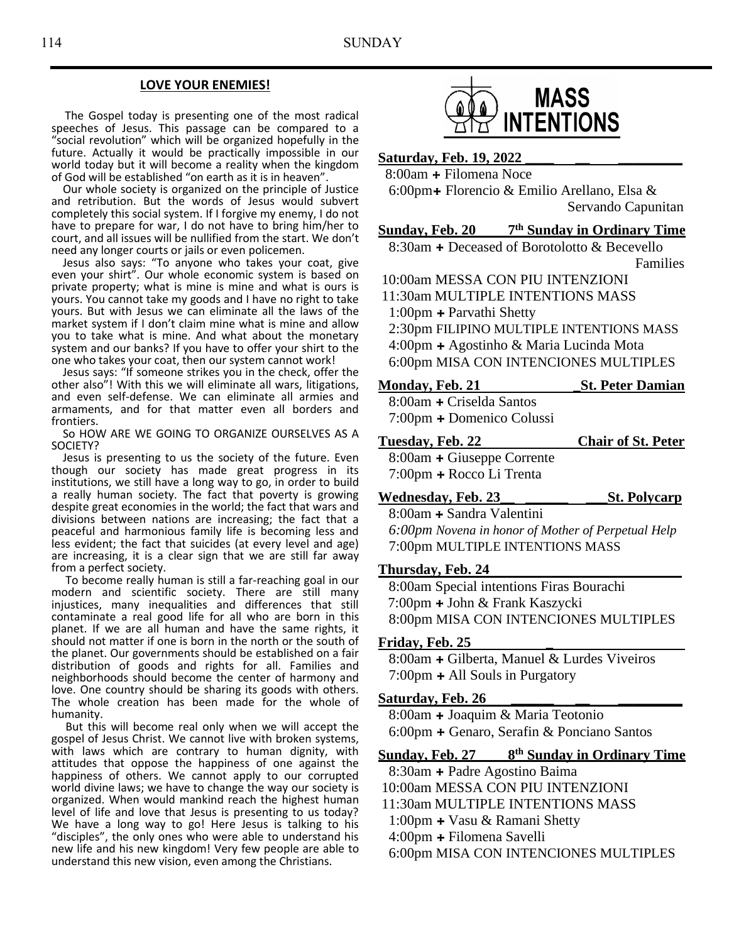## **LOVE YOUR ENEMIES!**

 The Gospel today is presenting one of the most radical speeches of Jesus. This passage can be compared to a "social revolution" which will be organized hopefully in the future. Actually it would be practically impossible in our world today but it will become a reality when the kingdom of God will be established "on earth as it is in heaven".

 Our whole society is organized on the principle of Justice and retribution. But the words of Jesus would subvert completely this social system. If I forgive my enemy, I do not have to prepare for war, I do not have to bring him/her to court, and all issues will be nullified from the start. We don't need any longer courts or jails or even policemen.

 Jesus also says: "To anyone who takes your coat, give even your shirt". Our whole economic system is based on private property; what is mine is mine and what is ours is yours. You cannot take my goods and I have no right to take yours. But with Jesus we can eliminate all the laws of the market system if I don't claim mine what is mine and allow you to take what is mine. And what about the monetary system and our banks? If you have to offer your shirt to the one who takes your coat, then our system cannot work!

 Jesus says: "If someone strikes you in the check, offer the other also"! With this we will eliminate all wars, litigations, and even self-defense. We can eliminate all armies and armaments, and for that matter even all borders and frontiers.

 So HOW ARE WE GOING TO ORGANIZE OURSELVES AS A SOCIETY?

 Jesus is presenting to us the society of the future. Even though our society has made great progress in its institutions, we still have a long way to go, in order to build a really human society. The fact that poverty is growing despite great economies in the world; the fact that wars and divisions between nations are increasing; the fact that a peaceful and harmonious family life is becoming less and less evident; the fact that suicides (at every level and age) are increasing, it is a clear sign that we are still far away from a perfect society.

 To become really human is still a far-reaching goal in our modern and scientific society. There are still many injustices, many inequalities and differences that still contaminate a real good life for all who are born in this planet. If we are all human and have the same rights, it should not matter if one is born in the north or the south of the planet. Our governments should be established on a fair distribution of goods and rights for all. Families and neighborhoods should become the center of harmony and love. One country should be sharing its goods with others. The whole creation has been made for the whole of humanity.

 But this will become real only when we will accept the gospel of Jesus Christ. We cannot live with broken systems, with laws which are contrary to human dignity, with attitudes that oppose the happiness of one against the happiness of others. We cannot apply to our corrupted world divine laws; we have to change the way our society is organized. When would mankind reach the highest human level of life and love that Jesus is presenting to us today? We have a long way to go! Here Jesus is talking to his "disciples", the only ones who were able to understand his new life and his new kingdom! Very few people are able to understand this new vision, even among the Christians.



## Saturday, Feb. 19, 2022

8:00am **+** Filomena Noce

 6:00pm**+** Florencio & Emilio Arellano, Elsa & Servando Capunitan

#### **Sunday, Feb. 20 7 th Sunday in Ordinary Time**

8:30am **+** Deceased of Borotolotto & Becevello Families

10:00am MESSA CON PIU INTENZIONI

11:30am MULTIPLE INTENTIONS MASS 1:00pm **+** Parvathi Shetty

 2:30pm FILIPINO MULTIPLE INTENTIONS MASS 4:00pm **+** Agostinho & Maria Lucinda Mota 6:00pm MISA CON INTENCIONES MULTIPLES

## **Monday, Feb. 21 \_St. Peter Damian**

8:00am **+** Criselda Santos 7:00pm **+** Domenico Colussi

**Tuesday, Feb. 22 Chair of St. Peter**

8:00am **+** Giuseppe Corrente 7:00pm **+** Rocco Li Trenta

**Wednesday, Feb. 23\_\_ \_\_\_\_\_\_ \_\_\_St. Polycarp**

8:00am **+** Sandra Valentini *6:00pm Novena in honor of Mother of Perpetual Help* 7:00pm MULTIPLE INTENTIONS MASS

## **Thursday, Feb. 24**

 8:00am Special intentions Firas Bourachi 7:00pm **+** John & Frank Kaszycki 8:00pm MISA CON INTENCIONES MULTIPLES

### **Friday, Feb. 25 \_**

8:00am **+** Gilberta, Manuel & Lurdes Viveiros 7:00pm **+** All Souls in Purgatory

### **<u>Saturday, Feb. 26</u>**

8:00am **+** Joaquim & Maria Teotonio 6:00pm **+** Genaro, Serafin & Ponciano Santos

#### **Sunday, Feb. 27 8 th Sunday in Ordinary Time**

8:30am **+** Padre Agostino Baima 10:00am MESSA CON PIU INTENZIONI

11:30am MULTIPLE INTENTIONS MASS

1:00pm **+** Vasu & Ramani Shetty

4:00pm **+** Filomena Savelli

6:00pm MISA CON INTENCIONES MULTIPLES